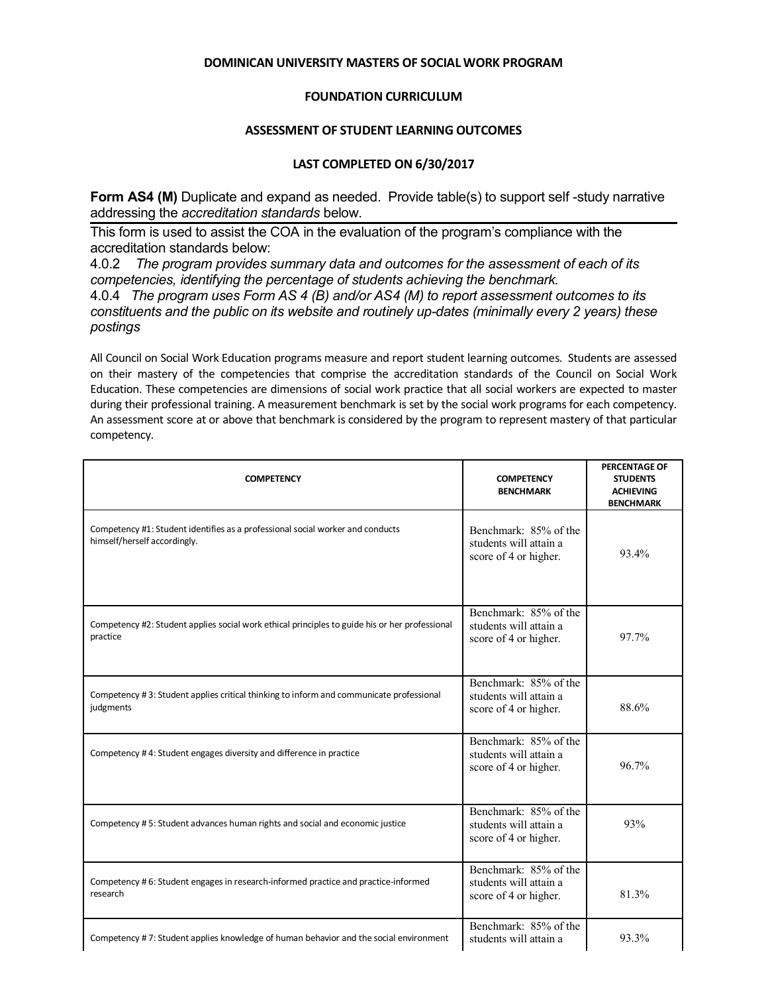## **DOMINICAN UNIVERSITY MASTERS OF SOCIAL WORK PROGRAM**

## **FOUNDATION CURRICULUM**

## **ASSESSMENT OF STUDENT LEARNING OUTCOMES**

## **LAST COMPLETED ON 6/30/2017**

Form AS4 (M) Duplicate and expand as needed. Provide table(s) to support self-study narrative addressing the *accreditation standards* below.

This form is used to assist the COA in the evaluation of the program's compliance with the accreditation standards below:

4.0.2 *The program provides summary data and outcomes for the assessment of each of its competencies, identifying the percentage of students achieving the benchmark.*

4.0.4 *The program uses Form AS 4 (B) and/or AS4 (M) to report assessment outcomes to its constituents and the public on its website and routinely up-dates (minimally every 2 years) these postings*

All Council on Social Work Education programs measure and report student learning outcomes. Students are assessed on their mastery of the competencies that comprise the accreditation standards of the Council on Social Work Education. These competencies are dimensions of social work practice that all social workers are expected to master during their professional training. A measurement benchmark is set by the social work programs for each competency. An assessment score at or above that benchmark is considered by the program to represent mastery of that particular competency.

| <b>COMPETENCY</b>                                                                                              | <b>COMPETENCY</b><br><b>BENCHMARK</b>                                    | PERCENTAGE OF<br><b>STUDENTS</b><br><b>ACHIEVING</b><br><b>BENCHMARK</b> |
|----------------------------------------------------------------------------------------------------------------|--------------------------------------------------------------------------|--------------------------------------------------------------------------|
| Competency #1: Student identifies as a professional social worker and conducts<br>himself/herself accordingly. | Benchmark: 85% of the<br>students will attain a<br>score of 4 or higher. | 93.4%                                                                    |
| Competency #2: Student applies social work ethical principles to guide his or her professional<br>practice     | Benchmark: 85% of the<br>students will attain a<br>score of 4 or higher. | 97.7%                                                                    |
| Competency #3: Student applies critical thinking to inform and communicate professional<br>judgments           | Benchmark: 85% of the<br>students will attain a<br>score of 4 or higher. | 88.6%                                                                    |
| Competency #4: Student engages diversity and difference in practice                                            | Benchmark: 85% of the<br>students will attain a<br>score of 4 or higher. | 96.7%                                                                    |
| Competency #5: Student advances human rights and social and economic justice                                   | Benchmark: 85% of the<br>students will attain a<br>score of 4 or higher. | 93%                                                                      |
| Competency #6: Student engages in research-informed practice and practice-informed<br>research                 | Benchmark: 85% of the<br>students will attain a<br>score of 4 or higher. | 81.3%                                                                    |
| Competency #7: Student applies knowledge of human behavior and the social environment                          | Benchmark: 85% of the<br>students will attain a                          | 93.3%                                                                    |